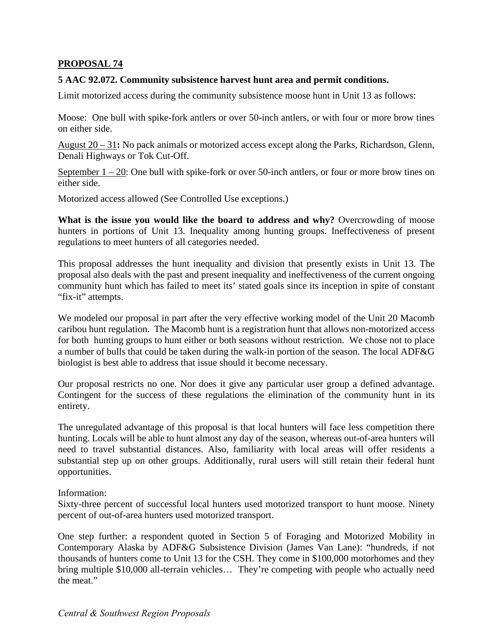## **PROPOSAL 74**

## **5 AAC 92.072. Community subsistence harvest hunt area and permit conditions.**

Limit motorized access during the community subsistence moose hunt in Unit 13 as follows:

Moose: One bull with spike-fork antlers or over 50-inch antlers, or with four or more brow tines on either side.

August 20 – 31**:** No pack animals or motorized access except along the Parks, Richardson, Glenn, Denali Highways or Tok Cut-Off.

September  $1 - 20$ : One bull with spike-fork or over 50-inch antlers, or four or more brow tines on either side.

Motorized access allowed (See Controlled Use exceptions.)

**What is the issue you would like the board to address and why?** Overcrowding of moose hunters in portions of Unit 13. Inequality among hunting groups. Ineffectiveness of present regulations to meet hunters of all categories needed.

This proposal addresses the hunt inequality and division that presently exists in Unit 13. The proposal also deals with the past and present inequality and ineffectiveness of the current ongoing community hunt which has failed to meet its' stated goals since its inception in spite of constant "fix-it" attempts.

We modeled our proposal in part after the very effective working model of the Unit 20 Macomb caribou hunt regulation. The Macomb hunt is a registration hunt that allows non-motorized access for both hunting groups to hunt either or both seasons without restriction. We chose not to place a number of bulls that could be taken during the walk-in portion of the season. The local ADF&G biologist is best able to address that issue should it become necessary.

 Our proposal restricts no one. Nor does it give any particular user group a defined advantage. Contingent for the success of these regulations the elimination of the community hunt in its entirety.

 substantial step up on other groups. Additionally, rural users will still retain their federal hunt The unregulated advantage of this proposal is that local hunters will face less competition there hunting. Locals will be able to hunt almost any day of the season, whereas out-of-area hunters will need to travel substantial distances. Also, familiarity with local areas will offer residents a opportunities.

## Information:

Sixty-three percent of successful local hunters used motorized transport to hunt moose. Ninety percent of out-of-area hunters used motorized transport.

 the meat." One step further: a respondent quoted in Section 5 of Foraging and Motorized Mobility in Contemporary Alaska by ADF&G Subsistence Division (James Van Lane): "hundreds, if not thousands of hunters come to Unit 13 for the CSH. They come in \$100,000 motorhomes and they bring multiple \$10,000 all-terrain vehicles… They're competing with people who actually need